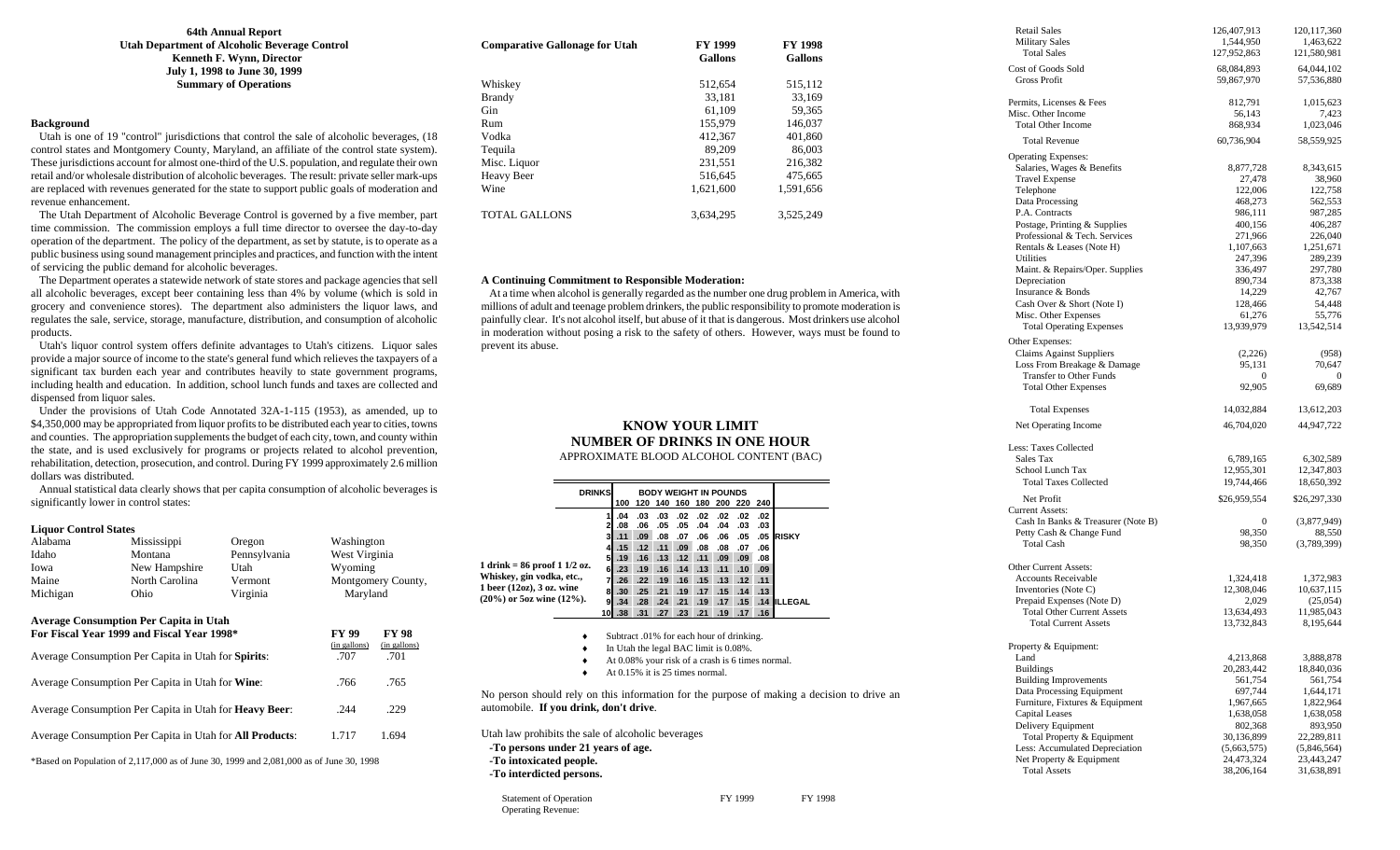**64th Annual Report Utah Department of Alcoholic Beverage Control Kenneth F. Wynn, Director July 1, 1998 to June 30, 1999 Summary of Operations** 

### **Background**

 Utah is one of 19 "control" jurisdictions that control the sale of alcoholic beverages, (18 control states and Montgomery County, Maryland, an affiliate of the control state system). These jurisdictions account for almost one-third of the U.S. population, and regulate their own retail and/or wholesale distribution of alcoholic beverages. The result: private seller mark-ups are replaced with revenues generated for the state to support public goals of moderation and revenue enhancement.

 The Utah Department of Alcoholic Beverage Control is governed by a five member, part time commission. The commission employs a full time director to oversee the day-to-day operation of the department. The policy of the department, as set by statute, is to operate as a public business using sound management principles and practices, and function with the intent of servicing the public demand for alcoholic beverages.

 The Department operates a statewide network of state stores and package agencies that sell all alcoholic beverages, except beer containing less than 4% by volume (which is sold in grocery and convenience stores). The department also administers the liquor laws, and regulates the sale, service, storage, manufacture, distribution, and consumption of alcoholic products.

 Utah's liquor control system offers definite advantages to Utah's citizens. Liquor sales provide a major source of income to the state's general fund which relieves the taxpayers of a significant tax burden each year and contributes heavily to state government programs, including health and education. In addition, school lunch funds and taxes are collected and dispensed from liquor sales.

 Under the provisions of Utah Code Annotated 32A-1-115 (1953), as amended, up to \$4,350,000 may be appropriated from liquor profits to be distributed each year to cities, towns and counties. The appropriation supplements the budget of each city, town, and county within the state, and is used exclusively for programs or projects related to alcohol prevention, rehabilitation, detection, prosecution, and control. During FY 1999 approximately 2.6 million dollars was distributed.

 Annual statistical data clearly shows that per capita consumption of alcoholic beverages is significantly lower in control states:

#### **Liquor Control States**

| Alabama                                                                                                                                            | Mississippi                   | Oregon                               | Washington    |                    |  |
|----------------------------------------------------------------------------------------------------------------------------------------------------|-------------------------------|--------------------------------------|---------------|--------------------|--|
| Idaho                                                                                                                                              | Montana                       | Pennsylvania                         | West Virginia |                    |  |
| Iowa                                                                                                                                               | New Hampshire                 | Utah                                 | Wyoming       |                    |  |
| Maine                                                                                                                                              | North Carolina                | Vermont                              |               | Montgomery County, |  |
| Michigan                                                                                                                                           | Ohio                          | Virginia                             | Maryland      |                    |  |
| <b>Average Consumption Per Capita in Utah</b><br>For Fiscal Year 1999 and Fiscal Year 1998*<br>Average Consumption Per Capita in Utah for Spirits: | FY 99<br>(in gallons)<br>.707 | <b>FY 98</b><br>(in gallons)<br>.701 |               |                    |  |
| Average Consumption Per Capita in Utah for Wine:<br>.766                                                                                           |                               |                                      |               | .765               |  |
| Average Consumption Per Capita in Utah for <b>Heavy Beer</b> :<br>.229<br>.244                                                                     |                               |                                      |               |                    |  |
| Average Consumption Per Capita in Utah for <b>All Products</b> :<br>1.717<br>1.694                                                                 |                               |                                      |               |                    |  |
| *Based on Population of 2,117,000 as of June 30, 1999 and 2,081,000 as of June 30, 1998                                                            |                               |                                      |               |                    |  |

| <b>Comparative Gallonage for Utah</b> | <b>FY 1999</b><br><b>Gallons</b> | <b>FY 1998</b><br><b>Gallons</b> |
|---------------------------------------|----------------------------------|----------------------------------|
| Whiskey                               | 512.654                          | 515,112                          |
| <b>Brandy</b>                         | 33.181                           | 33.169                           |
| <b>Gin</b>                            | 61.109                           | 59.365                           |
| Rum                                   | 155,979                          | 146,037                          |
| Vodka                                 | 412.367                          | 401.860                          |
| Tequila                               | 89.209                           | 86,003                           |
| Misc. Liquor                          | 231,551                          | 216,382                          |
| <b>Heavy Beer</b>                     | 516.645                          | 475,665                          |
| Wine                                  | 1.621.600                        | 1.591.656                        |
| <b>TOTAL GALLONS</b>                  | 3.634.295                        | 3.525.249                        |

#### **A Continuing Commitment to Responsible Moderation:**

 At a time when alcohol is generally regarded as the number one drug problem in America, with millions of adult and teenage problem drinkers, the public responsibility to promote moderation is painfully clear. It's not alcohol itself, but abuse of it that is dangerous. Most drinkers use alcohol in moderation without posing a risk to the safety of others. However, ways must be found to prevent its abuse.

### **KNOW YOUR LIMIT NUMBER OF DRINKS IN ONE HOUR**

| APPROXIMATE BLOOD ALCOHOL CONTENT (BAC) |  |  |
|-----------------------------------------|--|--|
|-----------------------------------------|--|--|

|                                                                                                                                                 | <b>DRINKS</b> |                  |     |             |                                    |     | <b>BODY WEIGHT IN POUNDS</b>                     |             |     |                     |  |
|-------------------------------------------------------------------------------------------------------------------------------------------------|---------------|------------------|-----|-------------|------------------------------------|-----|--------------------------------------------------|-------------|-----|---------------------|--|
|                                                                                                                                                 |               | 100              |     |             |                                    |     | 120 140 160 180 200 220 240                      |             |     |                     |  |
|                                                                                                                                                 | 1             | .04              | .03 | .03         | .02                                | .02 | .02                                              | .02         | .02 |                     |  |
|                                                                                                                                                 | 2             | .08              | .06 | .05         | .05                                | .04 | .04                                              | .03         | .03 |                     |  |
|                                                                                                                                                 | $\mathbf{3}$  | .11              | .09 |             | $.08$ .07                          | .06 | .06                                              | .05         |     | .05 RISKY           |  |
|                                                                                                                                                 |               | $.15 -$          | .12 | .11         | .09                                | .08 | .08                                              | .07         | .06 |                     |  |
|                                                                                                                                                 | 51            | .19              |     |             |                                    |     | $.16$ $.13$ $.12$ $.11$ $.09$                    | .09         | .08 |                     |  |
| $1$ drink = 86 proof $1 \frac{1}{2}$ oz.                                                                                                        | 6             | .23              | .19 |             |                                    |     | $.16$ $.14$ $.13$ $.11$ $.10$                    |             | .09 |                     |  |
| Whiskey, gin vodka, etc.,<br>1 beer $(12oz)$ , 3 oz. wine                                                                                       | 7             | .26 <sub>1</sub> | .22 | .19         | .16                                |     | $.15$ $.13$                                      | .12         | .11 |                     |  |
| $(20\%)$ or 5oz wine $(12\%)$ .                                                                                                                 | 8             | .30 <sub>1</sub> |     | $.25$ $.21$ | .19                                |     | $.17-.15$                                        | $.14$ $.13$ |     |                     |  |
|                                                                                                                                                 | 9l            | .34              | .28 | .24         | .21                                | .19 |                                                  |             |     | .17 .15 .14 ILLEGAL |  |
|                                                                                                                                                 |               | $10$ . 38 .31    |     | .27         | .23                                | .21 |                                                  | .19 .17 .16 |     |                     |  |
|                                                                                                                                                 |               |                  |     |             | At $0.15\%$ it is 25 times normal. |     | At 0.08% your risk of a crash is 6 times normal. |             |     |                     |  |
| No person should rely on this information for the purpose of making a decision to drive an<br>automobile. If you drink, don't drive.            |               |                  |     |             |                                    |     |                                                  |             |     |                     |  |
| Utah law prohibits the sale of alcoholic beverages<br>-To persons under 21 years of age.<br>-To intoxicated people.<br>-To interdicted persons. |               |                  |     |             |                                    |     |                                                  |             |     |                     |  |
| <b>Statement of Operation</b><br><b>Operating Revenue:</b>                                                                                      |               |                  |     |             |                                    |     |                                                  | FY 1999     |     | FY 1998             |  |

| <b>Retail Sales</b>                | 126,407,913  | 120, 117, 360 |
|------------------------------------|--------------|---------------|
| <b>Military Sales</b>              | 1,544,950    | 1,463,622     |
| <b>Total Sales</b>                 | 127,952,863  | 121,580,981   |
| Cost of Goods Sold                 | 68,084,893   | 64,044,102    |
| <b>Gross Profit</b>                | 59,867,970   | 57,536,880    |
|                                    |              |               |
| Permits. Licenses & Fees           |              |               |
|                                    | 812,791      | 1,015,623     |
| Misc. Other Income                 | 56,143       | 7,423         |
| <b>Total Other Income</b>          | 868,934      | 1,023,046     |
| <b>Total Revenue</b>               | 60,736,904   | 58,559,925    |
|                                    |              |               |
| <b>Operating Expenses:</b>         |              |               |
| Salaries, Wages & Benefits         | 8,877,728    | 8,343,615     |
| <b>Travel Expense</b>              | 27,478       | 38,960        |
| Telephone                          | 122,006      | 122,758       |
| Data Processing                    | 468,273      | 562,553       |
| P.A. Contracts                     | 986,111      | 987,285       |
| Postage, Printing & Supplies       | 400,156      | 406,287       |
| Professional & Tech. Services      | 271,966      | 226,040       |
| Rentals & Leases (Note H)          | 1,107,663    | 1,251,671     |
| Utilities                          | 247,396      | 289,239       |
| Maint. & Repairs/Oper. Supplies    | 336,497      | 297,780       |
| Depreciation                       | 890,734      | 873,338       |
|                                    |              |               |
| Insurance & Bonds                  | 14,229       | 42,767        |
| Cash Over & Short (Note I)         | 128,466      | 54,448        |
| Misc. Other Expenses               | 61,276       | 55,776        |
| <b>Total Operating Expenses</b>    | 13,939,979   | 13,542,514    |
| Other Expenses:                    |              |               |
| <b>Claims Against Suppliers</b>    | (2,226)      | (958)         |
| Loss From Breakage & Damage        | 95,131       | 70,647        |
| Transfer to Other Funds            | $\theta$     | $\theta$      |
| <b>Total Other Expenses</b>        | 92,905       | 69,689        |
|                                    |              |               |
|                                    |              |               |
| <b>Total Expenses</b>              | 14,032,884   | 13,612,203    |
| Net Operating Income               | 46,704,020   | 44,947,722    |
|                                    |              |               |
| Less: Taxes Collected              |              |               |
| Sales Tax                          | 6,789,165    | 6,302,589     |
| School Lunch Tax                   | 12,955,301   | 12,347,803    |
| <b>Total Taxes Collected</b>       | 19,744,466   | 18,650,392    |
|                                    |              |               |
| Net Profit                         | \$26,959,554 | \$26,297,330  |
| <b>Current Assets:</b>             |              |               |
| Cash In Banks & Treasurer (Note B) | 0            | (3,877,949)   |
| Petty Cash & Change Fund           | 98,350       | 88,550        |
| <b>Total Cash</b>                  | 98,350       | (3,789,399)   |
|                                    |              |               |
| Other Current Assets:              |              |               |
| <b>Accounts Receivable</b>         | 1,324,418    | 1,372,983     |
| Inventories (Note C)               | 12,308,046   | 10,637,115    |
| Prepaid Expenses (Note D)          | 2,029        | (25,054)      |
| <b>Total Other Current Assets</b>  |              |               |
|                                    | 13,634,493   | 11,985,043    |
| <b>Total Current Assets</b>        | 13,732,843   | 8,195,644     |
|                                    |              |               |
| Property & Equipment:              |              |               |
| Land                               | 4,213,868    | 3,888,878     |
| <b>Buildings</b>                   | 20,283,442   | 18,840,036    |
| <b>Building Improvements</b>       | 561,754      | 561,754       |
| Data Processing Equipment          | 697,744      | 1,644,171     |
| Furniture, Fixtures & Equipment    | 1,967,665    | 1,822,964     |
| <b>Capital Leases</b>              | 1,638,058    | 1,638,058     |
| Delivery Equipment                 | 802,368      | 893,950       |
| Total Property & Equipment         | 30,136,899   | 22,289,811    |
| Less: Accumulated Depreciation     | (5,663,575)  | (5,846,564)   |
| Net Property & Equipment           |              |               |
|                                    | 24,473,324   | 23,443,247    |
| <b>Total Assets</b>                | 38,206,164   | 31,638,891    |
|                                    |              |               |